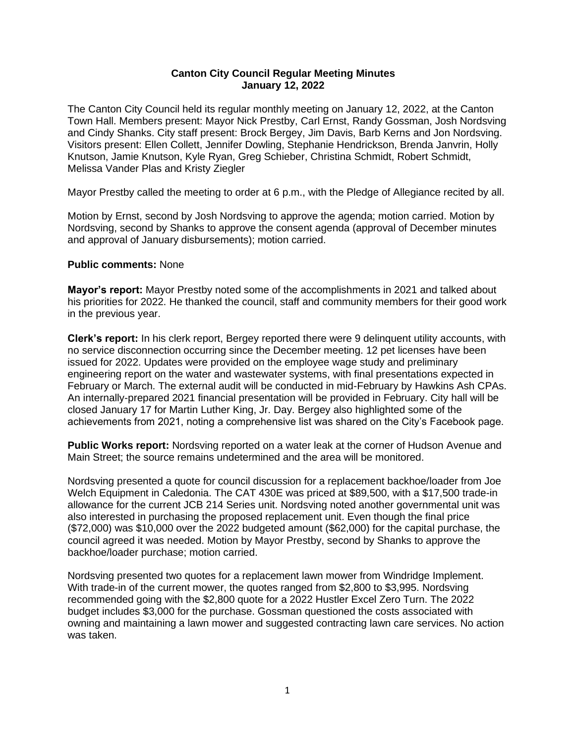## **Canton City Council Regular Meeting Minutes January 12, 2022**

The Canton City Council held its regular monthly meeting on January 12, 2022, at the Canton Town Hall. Members present: Mayor Nick Prestby, Carl Ernst, Randy Gossman, Josh Nordsving and Cindy Shanks. City staff present: Brock Bergey, Jim Davis, Barb Kerns and Jon Nordsving. Visitors present: Ellen Collett, Jennifer Dowling, Stephanie Hendrickson, Brenda Janvrin, Holly Knutson, Jamie Knutson, Kyle Ryan, Greg Schieber, Christina Schmidt, Robert Schmidt, Melissa Vander Plas and Kristy Ziegler

Mayor Prestby called the meeting to order at 6 p.m., with the Pledge of Allegiance recited by all.

Motion by Ernst, second by Josh Nordsving to approve the agenda; motion carried. Motion by Nordsving, second by Shanks to approve the consent agenda (approval of December minutes and approval of January disbursements); motion carried.

## **Public comments:** None

**Mayor's report:** Mayor Prestby noted some of the accomplishments in 2021 and talked about his priorities for 2022. He thanked the council, staff and community members for their good work in the previous year.

**Clerk's report:** In his clerk report, Bergey reported there were 9 delinquent utility accounts, with no service disconnection occurring since the December meeting. 12 pet licenses have been issued for 2022. Updates were provided on the employee wage study and preliminary engineering report on the water and wastewater systems, with final presentations expected in February or March. The external audit will be conducted in mid-February by Hawkins Ash CPAs. An internally-prepared 2021 financial presentation will be provided in February. City hall will be closed January 17 for Martin Luther King, Jr. Day. Bergey also highlighted some of the achievements from 2021, noting a comprehensive list was shared on the City's Facebook page.

**Public Works report:** Nordsving reported on a water leak at the corner of Hudson Avenue and Main Street; the source remains undetermined and the area will be monitored.

Nordsving presented a quote for council discussion for a replacement backhoe/loader from Joe Welch Equipment in Caledonia. The CAT 430E was priced at \$89,500, with a \$17,500 trade-in allowance for the current JCB 214 Series unit. Nordsving noted another governmental unit was also interested in purchasing the proposed replacement unit. Even though the final price (\$72,000) was \$10,000 over the 2022 budgeted amount (\$62,000) for the capital purchase, the council agreed it was needed. Motion by Mayor Prestby, second by Shanks to approve the backhoe/loader purchase; motion carried.

Nordsving presented two quotes for a replacement lawn mower from Windridge Implement. With trade-in of the current mower, the quotes ranged from \$2,800 to \$3,995. Nordsving recommended going with the \$2,800 quote for a 2022 Hustler Excel Zero Turn. The 2022 budget includes \$3,000 for the purchase. Gossman questioned the costs associated with owning and maintaining a lawn mower and suggested contracting lawn care services. No action was taken.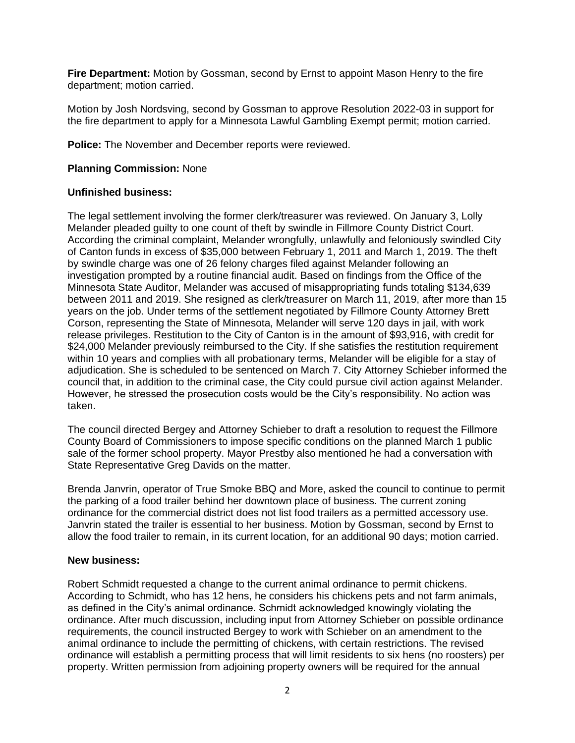**Fire Department:** Motion by Gossman, second by Ernst to appoint Mason Henry to the fire department; motion carried.

Motion by Josh Nordsving, second by Gossman to approve Resolution 2022-03 in support for the fire department to apply for a Minnesota Lawful Gambling Exempt permit; motion carried.

**Police:** The November and December reports were reviewed.

# **Planning Commission:** None

## **Unfinished business:**

The legal settlement involving the former clerk/treasurer was reviewed. On January 3, Lolly Melander pleaded guilty to one count of theft by swindle in Fillmore County District Court. According the criminal complaint, Melander wrongfully, unlawfully and feloniously swindled City of Canton funds in excess of \$35,000 between February 1, 2011 and March 1, 2019. The theft by swindle charge was one of 26 felony charges filed against Melander following an investigation prompted by a routine financial audit. Based on findings from the Office of the Minnesota State Auditor, Melander was accused of misappropriating funds totaling \$134,639 between 2011 and 2019. She resigned as clerk/treasurer on March 11, 2019, after more than 15 years on the job. Under terms of the settlement negotiated by Fillmore County Attorney Brett Corson, representing the State of Minnesota, Melander will serve 120 days in jail, with work release privileges. Restitution to the City of Canton is in the amount of \$93,916, with credit for \$24,000 Melander previously reimbursed to the City. If she satisfies the restitution requirement within 10 years and complies with all probationary terms, Melander will be eligible for a stay of adjudication. She is scheduled to be sentenced on March 7. City Attorney Schieber informed the council that, in addition to the criminal case, the City could pursue civil action against Melander. However, he stressed the prosecution costs would be the City's responsibility. No action was taken.

The council directed Bergey and Attorney Schieber to draft a resolution to request the Fillmore County Board of Commissioners to impose specific conditions on the planned March 1 public sale of the former school property. Mayor Prestby also mentioned he had a conversation with State Representative Greg Davids on the matter.

Brenda Janvrin, operator of True Smoke BBQ and More, asked the council to continue to permit the parking of a food trailer behind her downtown place of business. The current zoning ordinance for the commercial district does not list food trailers as a permitted accessory use. Janvrin stated the trailer is essential to her business. Motion by Gossman, second by Ernst to allow the food trailer to remain, in its current location, for an additional 90 days; motion carried.

#### **New business:**

Robert Schmidt requested a change to the current animal ordinance to permit chickens. According to Schmidt, who has 12 hens, he considers his chickens pets and not farm animals, as defined in the City's animal ordinance. Schmidt acknowledged knowingly violating the ordinance. After much discussion, including input from Attorney Schieber on possible ordinance requirements, the council instructed Bergey to work with Schieber on an amendment to the animal ordinance to include the permitting of chickens, with certain restrictions. The revised ordinance will establish a permitting process that will limit residents to six hens (no roosters) per property. Written permission from adjoining property owners will be required for the annual